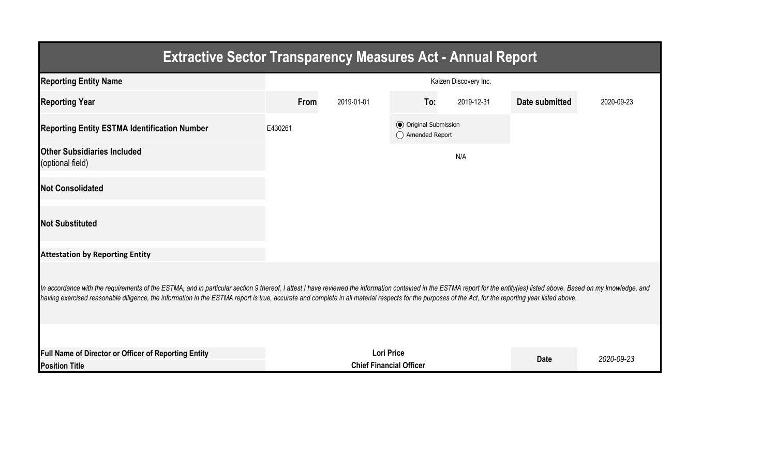| <b>Extractive Sector Transparency Measures Act - Annual Report</b>                                                                                                                                                                                                                                                                                                                                                                 |                                                                    |            |                                                  |            |                |            |  |  |  |  |
|------------------------------------------------------------------------------------------------------------------------------------------------------------------------------------------------------------------------------------------------------------------------------------------------------------------------------------------------------------------------------------------------------------------------------------|--------------------------------------------------------------------|------------|--------------------------------------------------|------------|----------------|------------|--|--|--|--|
| <b>Reporting Entity Name</b>                                                                                                                                                                                                                                                                                                                                                                                                       | Kaizen Discovery Inc.                                              |            |                                                  |            |                |            |  |  |  |  |
| <b>Reporting Year</b>                                                                                                                                                                                                                                                                                                                                                                                                              | From                                                               | 2019-01-01 | To:                                              | 2019-12-31 | Date submitted | 2020-09-23 |  |  |  |  |
| <b>Reporting Entity ESTMA Identification Number</b>                                                                                                                                                                                                                                                                                                                                                                                | E430261                                                            |            | <b>◎</b> Original Submission<br>◯ Amended Report |            |                |            |  |  |  |  |
| <b>Other Subsidiaries Included</b><br>(optional field)                                                                                                                                                                                                                                                                                                                                                                             |                                                                    |            |                                                  | N/A        |                |            |  |  |  |  |
| <b>Not Consolidated</b>                                                                                                                                                                                                                                                                                                                                                                                                            |                                                                    |            |                                                  |            |                |            |  |  |  |  |
| <b>Not Substituted</b>                                                                                                                                                                                                                                                                                                                                                                                                             |                                                                    |            |                                                  |            |                |            |  |  |  |  |
| <b>Attestation by Reporting Entity</b>                                                                                                                                                                                                                                                                                                                                                                                             |                                                                    |            |                                                  |            |                |            |  |  |  |  |
| In accordance with the requirements of the ESTMA, and in particular section 9 thereof, I attest I have reviewed the information contained in the ESTMA report for the entity(ies) listed above. Based on my knowledge, and<br>having exercised reasonable diligence, the information in the ESTMA report is true, accurate and complete in all material respects for the purposes of the Act, for the reporting year listed above. |                                                                    |            |                                                  |            |                |            |  |  |  |  |
|                                                                                                                                                                                                                                                                                                                                                                                                                                    |                                                                    |            |                                                  |            |                |            |  |  |  |  |
| Full Name of Director or Officer of Reporting Entity<br><b>Position Title</b>                                                                                                                                                                                                                                                                                                                                                      | <b>Lori Price</b><br><b>Date</b><br><b>Chief Financial Officer</b> |            |                                                  |            |                | 2020-09-23 |  |  |  |  |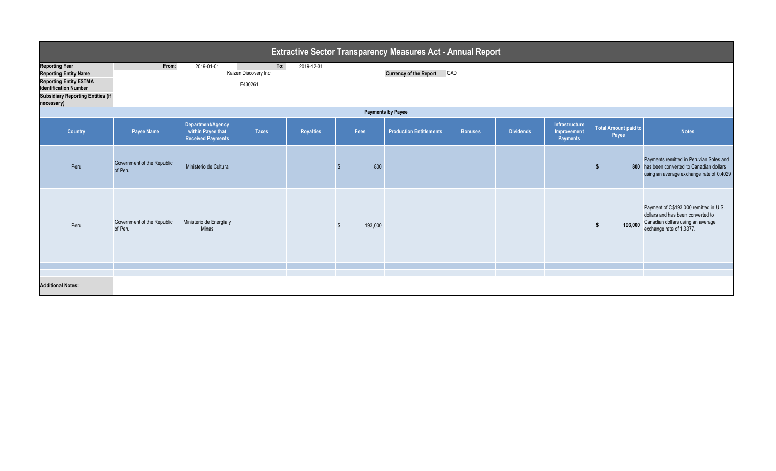| <b>Extractive Sector Transparency Measures Act - Annual Report</b>                                                                                                               |                                       |                                                                    |                                         |                  |         |                                |                |                  |                                                  |                               |                                                                                                                                              |  |
|----------------------------------------------------------------------------------------------------------------------------------------------------------------------------------|---------------------------------------|--------------------------------------------------------------------|-----------------------------------------|------------------|---------|--------------------------------|----------------|------------------|--------------------------------------------------|-------------------------------|----------------------------------------------------------------------------------------------------------------------------------------------|--|
| <b>Reporting Year</b><br><b>Reporting Entity Name</b><br><b>Reporting Entity ESTMA</b><br><b>Identification Number</b><br><b>Subsidiary Reporting Entities (if</b><br>necessary) | From:                                 | 2019-01-01                                                         | To:<br>Kaizen Discovery Inc.<br>E430261 | 2019-12-31       |         | Currency of the Report CAD     |                |                  |                                                  |                               |                                                                                                                                              |  |
| <b>Payments by Payee</b>                                                                                                                                                         |                                       |                                                                    |                                         |                  |         |                                |                |                  |                                                  |                               |                                                                                                                                              |  |
| Country                                                                                                                                                                          | Payee Name                            | Department/Agency<br>within Payee that<br><b>Received Payments</b> | <b>Taxes</b>                            | <b>Royalties</b> | Fees    | <b>Production Entitlements</b> | <b>Bonuses</b> | <b>Dividends</b> | Infrastructure<br>Improvement<br><b>Payments</b> | Total Amount paid to<br>Payee | <b>Notes</b>                                                                                                                                 |  |
| Peru                                                                                                                                                                             | Government of the Republic<br>of Peru | Ministerio de Cultura                                              |                                         |                  | 800     |                                |                |                  |                                                  |                               | Payments remitted in Peruvian Soles and<br>800 has been converted to Canadian dollars<br>using an average exchange rate of 0.4029            |  |
| Peru                                                                                                                                                                             | Government of the Republic<br>of Peru | Ministerio de Energía y<br>Minas                                   |                                         |                  | 193,000 |                                |                |                  |                                                  | 193,000                       | Payment of C\$193,000 remitted in U.S.<br>dollars and has been converted to<br>Canadian dollars using an average<br>exchange rate of 1.3377. |  |
|                                                                                                                                                                                  |                                       |                                                                    |                                         |                  |         |                                |                |                  |                                                  |                               |                                                                                                                                              |  |
| <b>Additional Notes:</b>                                                                                                                                                         |                                       |                                                                    |                                         |                  |         |                                |                |                  |                                                  |                               |                                                                                                                                              |  |